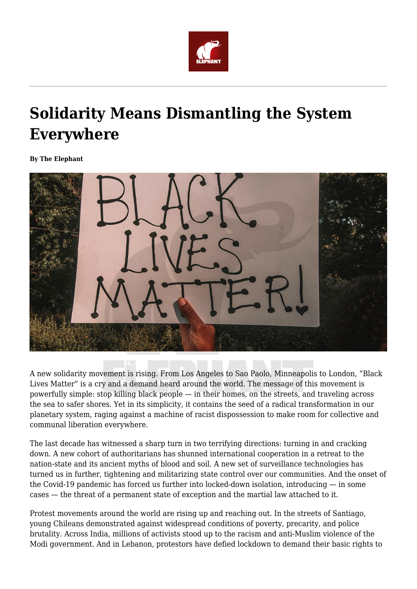

## **Solidarity Means Dismantling the System Everywhere**

**By The Elephant**



A new solidarity movement is rising. From Los Angeles to Sao Paolo, Minneapolis to London, "Black Lives Matter" is a cry and a demand heard around the world. The message of this movement is powerfully simple: stop killing black people — in their homes, on the streets, and traveling across the sea to safer shores. Yet in its simplicity, it contains the seed of a radical transformation in our planetary system, raging against a machine of racist dispossession to make room for collective and communal liberation everywhere.

The last decade has witnessed a sharp turn in two terrifying directions: turning in and cracking down. A new cohort of authoritarians has shunned international cooperation in a retreat to the nation-state and its ancient myths of blood and soil. A new set of surveillance technologies has turned us in further, tightening and militarizing state control over our communities. And the onset of the Covid-19 pandemic has forced us further into locked-down isolation, introducing — in some cases — the threat of a permanent state of exception and the martial law attached to it.

Protest movements around the world are rising up and reaching out. In the streets of Santiago, young Chileans demonstrated against widespread conditions of poverty, precarity, and police brutality. Across India, millions of activists stood up to the racism and anti-Muslim violence of the Modi government. And in Lebanon, protestors have defied lockdown to demand their basic rights to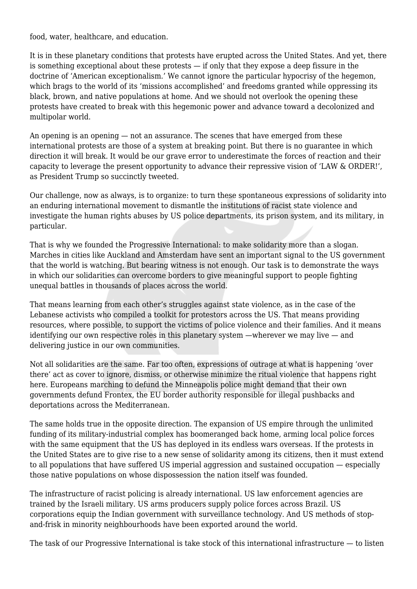food, water, healthcare, and education.

It is in these planetary conditions that protests have erupted across the United States. And yet, there is something exceptional about these protests — if only that they expose a deep fissure in the doctrine of 'American exceptionalism.' We cannot ignore the particular hypocrisy of the hegemon, which brags to the world of its 'missions accomplished' and freedoms granted while oppressing its black, brown, and native populations at home. And we should not overlook the opening these protests have created to break with this hegemonic power and advance toward a decolonized and multipolar world.

An opening is an opening — not an assurance. The scenes that have emerged from these international protests are those of a system at breaking point. But there is no guarantee in which direction it will break. It would be our grave error to underestimate the forces of reaction and their capacity to leverage the present opportunity to advance their repressive vision of 'LAW & ORDER!', as President Trump so succinctly tweeted.

Our challenge, now as always, is to organize: to turn these spontaneous expressions of solidarity into an enduring international movement to dismantle the institutions of racist state violence and investigate the human rights abuses by US police departments, its prison system, and its military, in particular.

That is why we founded the Progressive International: to make solidarity more than a slogan. Marches in cities like Auckland and Amsterdam have sent an important signal to the US government that the world is watching. But bearing witness is not enough. Our task is to demonstrate the ways in which our solidarities can overcome borders to give meaningful support to people fighting unequal battles in thousands of places across the world.

That means learning from each other's struggles against state violence, as in the case of the Lebanese activists who compiled a toolkit for protestors across the US. That means providing resources, where possible, to support the victims of police violence and their families. And it means identifying our own respective roles in this planetary system —wherever we may live — and delivering justice in our own communities.

Not all solidarities are the same. Far too often, expressions of outrage at what is happening 'over there' act as cover to ignore, dismiss, or otherwise minimize the ritual violence that happens right here. Europeans marching to defund the Minneapolis police might demand that their own governments defund Frontex, the EU border authority responsible for illegal pushbacks and deportations across the Mediterranean.

The same holds true in the opposite direction. The expansion of US empire through the unlimited funding of its military-industrial complex has boomeranged back home, arming local police forces with the same equipment that the US has deployed in its endless wars overseas. If the protests in the United States are to give rise to a new sense of solidarity among its citizens, then it must extend to all populations that have suffered US imperial aggression and sustained occupation — especially those native populations on whose dispossession the nation itself was founded.

The infrastructure of racist policing is already international. US law enforcement agencies are trained by the Israeli military. US arms producers supply police forces across Brazil. US corporations equip the Indian government with surveillance technology. And US methods of stopand-frisk in minority neighbourhoods have been exported around the world.

The task of our Progressive International is take stock of this international infrastructure — to listen